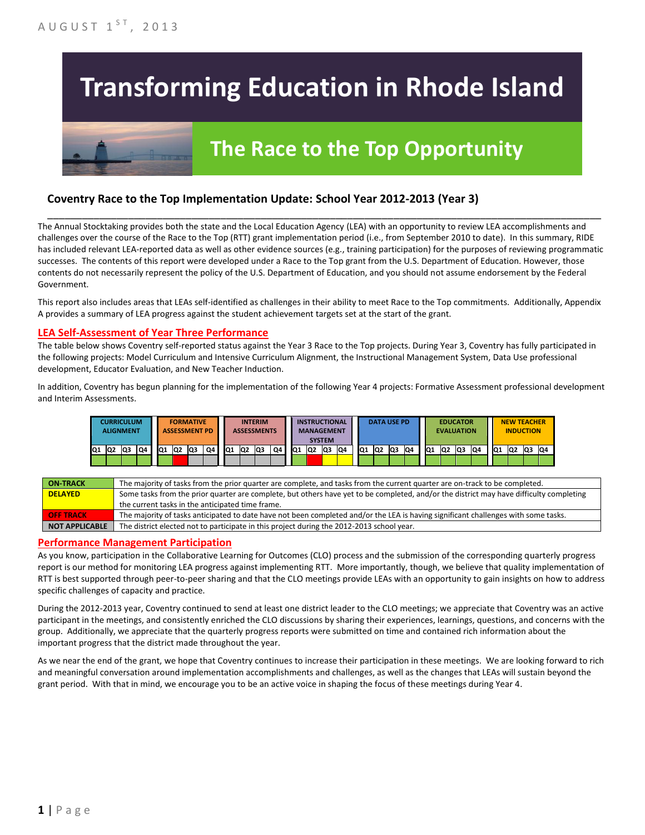# **Transforming Education in Rhode Island**

# **The Race to the Top Opportunity**

### **Coventry Race to the Top Implementation Update: School Year 2012-2013 (Year 3)**

The Annual Stocktaking provides both the state and the Local Education Agency (LEA) with an opportunity to review LEA accomplishments and challenges over the course of the Race to the Top (RTT) grant implementation period (i.e., from September 2010 to date). In this summary, RIDE has included relevant LEA-reported data as well as other evidence sources (e.g., training participation) for the purposes of reviewing programmatic successes. The contents of this report were developed under a Race to the Top grant from the U.S. Department of Education. However, those contents do not necessarily represent the policy of the U.S. Department of Education, and you should not assume endorsement by the Federal Government.

\_\_\_\_\_\_\_\_\_\_\_\_\_\_\_\_\_\_\_\_\_\_\_\_\_\_\_\_\_\_\_\_\_\_\_\_\_\_\_\_\_\_\_\_\_\_\_\_\_\_\_\_\_\_\_\_\_\_\_\_\_\_\_\_\_\_\_\_\_\_\_\_\_\_\_\_\_\_\_\_\_\_\_\_\_\_\_\_\_\_\_\_\_\_\_\_

This report also includes areas that LEAs self-identified as challenges in their ability to meet Race to the Top commitments. Additionally, Appendix A provides a summary of LEA progress against the student achievement targets set at the start of the grant.

#### **LEA Self-Assessment of Year Three Performance**

The table below shows Coventry self-reported status against the Year 3 Race to the Top projects. During Year 3, Coventry has fully participated in the following projects: Model Curriculum and Intensive Curriculum Alignment, the Instructional Management System, Data Use professional development, Educator Evaluation, and New Teacher Induction.

In addition, Coventry has begun planning for the implementation of the following Year 4 projects: Formative Assessment professional development and Interim Assessments.



| <b>ON-TRACK</b>       | The majority of tasks from the prior quarter are complete, and tasks from the current quarter are on-track to be completed.             |
|-----------------------|-----------------------------------------------------------------------------------------------------------------------------------------|
| <b>DELAYED</b>        | Some tasks from the prior quarter are complete, but others have yet to be completed, and/or the district may have difficulty completing |
|                       | the current tasks in the anticipated time frame.                                                                                        |
| <b>OFF TRACK</b>      | The majority of tasks anticipated to date have not been completed and/or the LEA is having significant challenges with some tasks.      |
| <b>NOT APPLICABLE</b> | The district elected not to participate in this project during the 2012-2013 school year.                                               |

#### **Performance Management Participation**

As you know, participation in the Collaborative Learning for Outcomes (CLO) process and the submission of the corresponding quarterly progress report is our method for monitoring LEA progress against implementing RTT. More importantly, though, we believe that quality implementation of RTT is best supported through peer-to-peer sharing and that the CLO meetings provide LEAs with an opportunity to gain insights on how to address specific challenges of capacity and practice.

During the 2012-2013 year, Coventry continued to send at least one district leader to the CLO meetings; we appreciate that Coventry was an active participant in the meetings, and consistently enriched the CLO discussions by sharing their experiences, learnings, questions, and concerns with the group. Additionally, we appreciate that the quarterly progress reports were submitted on time and contained rich information about the important progress that the district made throughout the year.

As we near the end of the grant, we hope that Coventry continues to increase their participation in these meetings. We are looking forward to rich and meaningful conversation around implementation accomplishments and challenges, as well as the changes that LEAs will sustain beyond the grant period. With that in mind, we encourage you to be an active voice in shaping the focus of these meetings during Year 4.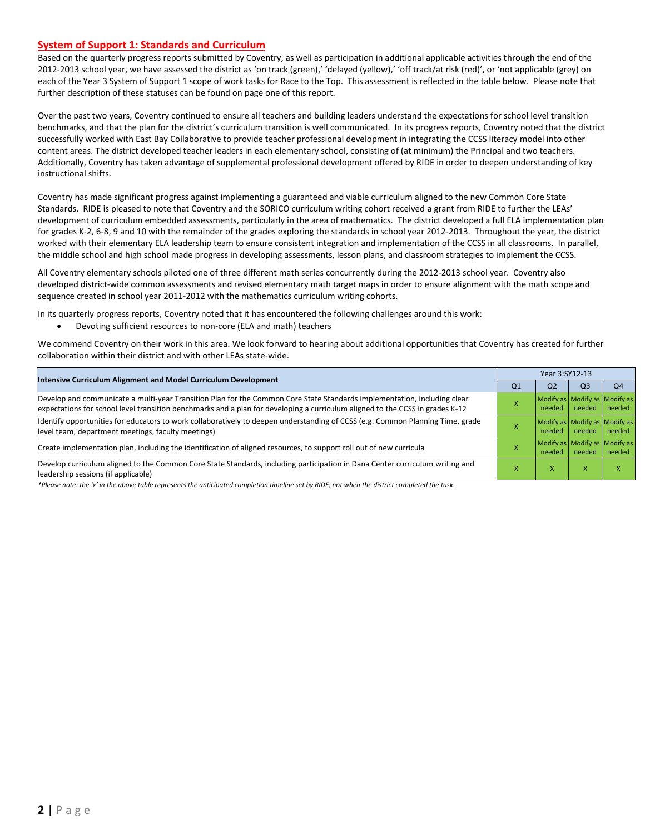#### **System of Support 1: Standards and Curriculum**

Based on the quarterly progress reports submitted by Coventry, as well as participation in additional applicable activities through the end of the 2012-2013 school year, we have assessed the district as 'on track (green),' 'delayed (yellow),' 'off track/at risk (red)', or 'not applicable (grey) on each of the Year 3 System of Support 1 scope of work tasks for Race to the Top. This assessment is reflected in the table below. Please note that further description of these statuses can be found on page one of this report.

Over the past two years, Coventry continued to ensure all teachers and building leaders understand the expectations for school level transition benchmarks, and that the plan for the district's curriculum transition is well communicated. In its progress reports, Coventry noted that the district successfully worked with East Bay Collaborative to provide teacher professional development in integrating the CCSS literacy model into other content areas. The district developed teacher leaders in each elementary school, consisting of (at minimum) the Principal and two teachers. Additionally, Coventry has taken advantage of supplemental professional development offered by RIDE in order to deepen understanding of key instructional shifts.

Coventry has made significant progress against implementing a guaranteed and viable curriculum aligned to the new Common Core State Standards. RIDE is pleased to note that Coventry and the SORICO curriculum writing cohort received a grant from RIDE to further the LEAs' development of curriculum embedded assessments, particularly in the area of mathematics. The district developed a full ELA implementation plan for grades K-2, 6-8, 9 and 10 with the remainder of the grades exploring the standards in school year 2012-2013. Throughout the year, the district worked with their elementary ELA leadership team to ensure consistent integration and implementation of the CCSS in all classrooms. In parallel, the middle school and high school made progress in developing assessments, lesson plans, and classroom strategies to implement the CCSS.

All Coventry elementary schools piloted one of three different math series concurrently during the 2012-2013 school year. Coventry also developed district-wide common assessments and revised elementary math target maps in order to ensure alignment with the math scope and sequence created in school year 2011-2012 with the mathematics curriculum writing cohorts.

In its quarterly progress reports, Coventry noted that it has encountered the following challenges around this work:

Devoting sufficient resources to non-core (ELA and math) teachers

We commend Coventry on their work in this area. We look forward to hearing about additional opportunities that Coventry has created for further collaboration within their district and with other LEAs state-wide.

| Intensive Curriculum Alignment and Model Curriculum Development                                                                                                                                                                                           |    | Year 3:SY12-13                          |                |                |  |  |  |
|-----------------------------------------------------------------------------------------------------------------------------------------------------------------------------------------------------------------------------------------------------------|----|-----------------------------------------|----------------|----------------|--|--|--|
|                                                                                                                                                                                                                                                           | Q1 | Q2                                      | Q <sub>3</sub> | O <sub>4</sub> |  |  |  |
| Develop and communicate a multi-year Transition Plan for the Common Core State Standards implementation, including clear<br>expectations for school level transition benchmarks and a plan for developing a curriculum aligned to the CCSS in grades K-12 |    | Modify as Modify as Modify as<br>needed | needed         | needed         |  |  |  |
| Identify opportunities for educators to work collaboratively to deepen understanding of CCSS (e.g. Common Planning Time, grade<br>level team, department meetings, faculty meetings)                                                                      |    | Modify as Modify as Modify as<br>needed | needed         | needed         |  |  |  |
| Create implementation plan, including the identification of aligned resources, to support roll out of new curricula                                                                                                                                       |    | Modify as Modify as Modify as<br>needed | needed         | needed         |  |  |  |
| Develop curriculum aligned to the Common Core State Standards, including participation in Dana Center curriculum writing and<br>leadership sessions (if applicable)                                                                                       |    | л                                       | x              |                |  |  |  |

*\*Please note: the 'x' in the above table represents the anticipated completion timeline set by RIDE, not when the district completed the task.*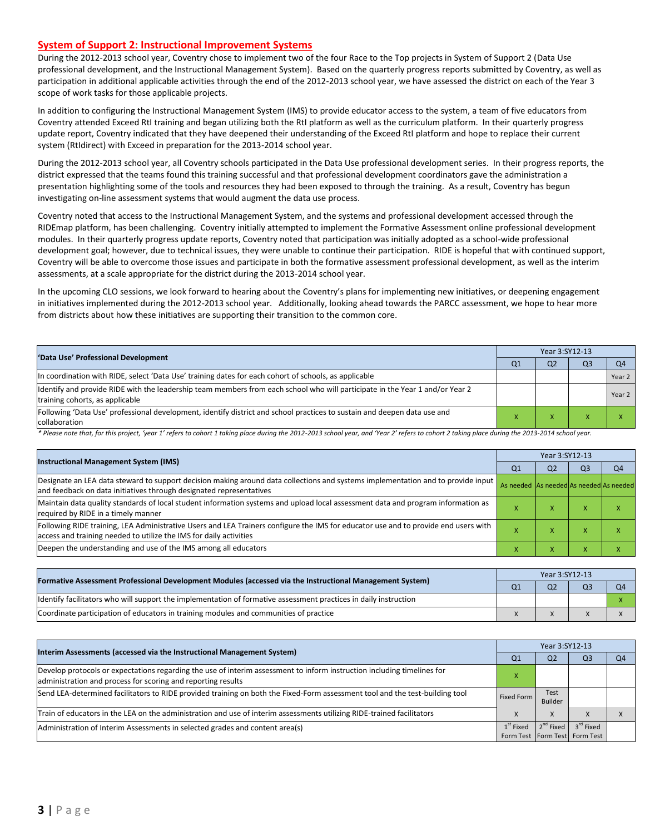#### **System of Support 2: Instructional Improvement Systems**

During the 2012-2013 school year, Coventry chose to implement two of the four Race to the Top projects in System of Support 2 (Data Use professional development, and the Instructional Management System). Based on the quarterly progress reports submitted by Coventry, as well as participation in additional applicable activities through the end of the 2012-2013 school year, we have assessed the district on each of the Year 3 scope of work tasks for those applicable projects.

In addition to configuring the Instructional Management System (IMS) to provide educator access to the system, a team of five educators from Coventry attended Exceed RtI training and began utilizing both the RtI platform as well as the curriculum platform. In their quarterly progress update report, Coventry indicated that they have deepened their understanding of the Exceed RtI platform and hope to replace their current system (RtIdirect) with Exceed in preparation for the 2013-2014 school year.

During the 2012-2013 school year, all Coventry schools participated in the Data Use professional development series. In their progress reports, the district expressed that the teams found this training successful and that professional development coordinators gave the administration a presentation highlighting some of the tools and resources they had been exposed to through the training. As a result, Coventry has begun investigating on-line assessment systems that would augment the data use process.

Coventry noted that access to the Instructional Management System, and the systems and professional development accessed through the RIDEmap platform, has been challenging. Coventry initially attempted to implement the Formative Assessment online professional development modules. In their quarterly progress update reports, Coventry noted that participation was initially adopted as a school-wide professional development goal; however, due to technical issues, they were unable to continue their participation. RIDE is hopeful that with continued support, Coventry will be able to overcome those issues and participate in both the formative assessment professional development, as well as the interim assessments, at a scale appropriate for the district during the 2013-2014 school year.

In the upcoming CLO sessions, we look forward to hearing about the Coventry's plans for implementing new initiatives, or deepening engagement in initiatives implemented during the 2012-2013 school year. Additionally, looking ahead towards the PARCC assessment, we hope to hear more from districts about how these initiatives are supporting their transition to the common core.

| 'Data Use' Professional Development                                                                                                                             |  | Year 3:SY12-13 |    |        |  |  |
|-----------------------------------------------------------------------------------------------------------------------------------------------------------------|--|----------------|----|--------|--|--|
|                                                                                                                                                                 |  | Q <sub>2</sub> | Q3 |        |  |  |
| In coordination with RIDE, select 'Data Use' training dates for each cohort of schools, as applicable                                                           |  |                |    | Year 2 |  |  |
| ldentify and provide RIDE with the leadership team members from each school who will participate in the Year 1 and/or Year 2<br>training cohorts, as applicable |  |                |    | Year 2 |  |  |
| Following 'Data Use' professional development, identify district and school practices to sustain and deepen data use and<br>collaboration                       |  |                |    |        |  |  |

\* Please note that, for this project, 'year 1' refers to cohort 1 taking place during the 2012-2013 school year, and 'Year 2' refers to cohort 2 taking place during the 2013-2014 school year.

| <b>Instructional Management System (IMS)</b>                                                                                                                                                               |                                         | Year 3:SY12-13 |                |    |  |  |  |
|------------------------------------------------------------------------------------------------------------------------------------------------------------------------------------------------------------|-----------------------------------------|----------------|----------------|----|--|--|--|
|                                                                                                                                                                                                            | Q1                                      | Q <sub>2</sub> | Q <sub>3</sub> | Q4 |  |  |  |
| Designate an LEA data steward to support decision making around data collections and systems implementation and to provide input   <br>and feedback on data initiatives through designated representatives | As needed As needed As needed As needed |                |                |    |  |  |  |
| Maintain data quality standards of local student information systems and upload local assessment data and program information as<br>required by RIDE in a timely manner                                    |                                         | ж              | ́              |    |  |  |  |
| Following RIDE training, LEA Administrative Users and LEA Trainers configure the IMS for educator use and to provide end users with<br>access and training needed to utilize the IMS for daily activities  |                                         | ⋏              | ́              |    |  |  |  |
| Deepen the understanding and use of the IMS among all educators                                                                                                                                            |                                         | ⋏              | $\lambda$      |    |  |  |  |

|                                                                                                                  |                | Year 3:SY12-13 |  |  |  |  |  |
|------------------------------------------------------------------------------------------------------------------|----------------|----------------|--|--|--|--|--|
| [Formative Assessment Professional Development Modules (accessed via the Instructional Management System)        | Q <sub>1</sub> | Q <sub>2</sub> |  |  |  |  |  |
| ldentify facilitators who will support the implementation of formative assessment practices in daily instruction |                |                |  |  |  |  |  |
| Coordinate participation of educators in training modules and communities of practice                            |                |                |  |  |  |  |  |

|                                                                                                                                                                                         |                   | Year 3:SY12-13        |                                   |          |  |  |
|-----------------------------------------------------------------------------------------------------------------------------------------------------------------------------------------|-------------------|-----------------------|-----------------------------------|----------|--|--|
| Interim Assessments (accessed via the Instructional Management System)                                                                                                                  | Q1                | Q <sub>2</sub>        | Q <sub>3</sub>                    | $\Omega$ |  |  |
| Develop protocols or expectations regarding the use of interim assessment to inform instruction including timelines for<br>administration and process for scoring and reporting results |                   |                       |                                   |          |  |  |
| Send LEA-determined facilitators to RIDE provided training on both the Fixed-Form assessment tool and the test-building tool                                                            | <b>Fixed Form</b> | Test<br>Builder       |                                   |          |  |  |
| Train of educators in the LEA on the administration and use of interim assessments utilizing RIDE-trained facilitators                                                                  |                   | X                     |                                   |          |  |  |
| Administration of Interim Assessments in selected grades and content area(s)                                                                                                            | $1st$ Fixed       | 2 <sup>nd</sup> Fixed | 3 <sup>rd</sup> Fixed             |          |  |  |
|                                                                                                                                                                                         |                   |                       | Form Test   Form Test   Form Test |          |  |  |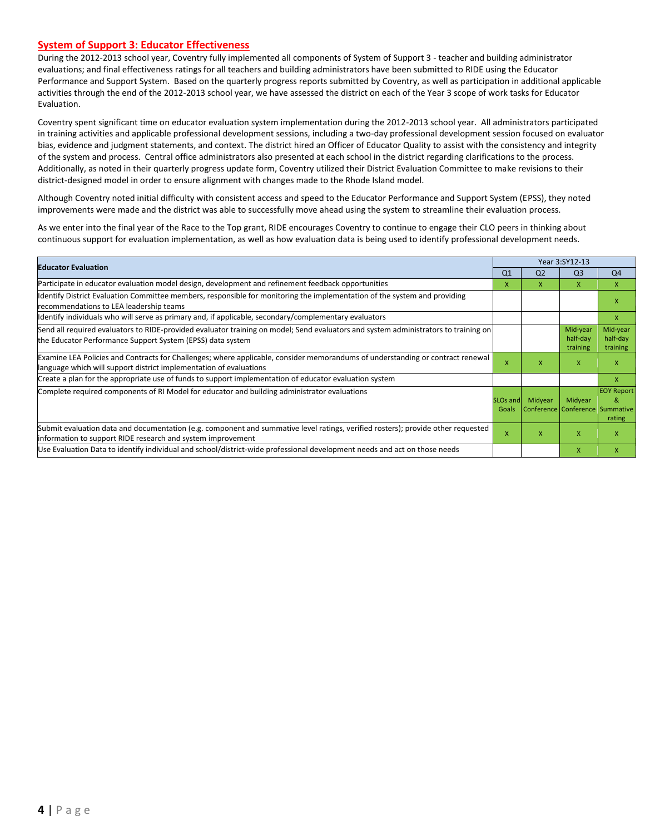#### **System of Support 3: Educator Effectiveness**

During the 2012-2013 school year, Coventry fully implemented all components of System of Support 3 - teacher and building administrator evaluations; and final effectiveness ratings for all teachers and building administrators have been submitted to RIDE using the Educator Performance and Support System. Based on the quarterly progress reports submitted by Coventry, as well as participation in additional applicable activities through the end of the 2012-2013 school year, we have assessed the district on each of the Year 3 scope of work tasks for Educator Evaluation.

Coventry spent significant time on educator evaluation system implementation during the 2012-2013 school year. All administrators participated in training activities and applicable professional development sessions, including a two-day professional development session focused on evaluator bias, evidence and judgment statements, and context. The district hired an Officer of Educator Quality to assist with the consistency and integrity of the system and process. Central office administrators also presented at each school in the district regarding clarifications to the process. Additionally, as noted in their quarterly progress update form, Coventry utilized their District Evaluation Committee to make revisions to their district-designed model in order to ensure alignment with changes made to the Rhode Island model.

Although Coventry noted initial difficulty with consistent access and speed to the Educator Performance and Support System (EPSS), they noted improvements were made and the district was able to successfully move ahead using the system to streamline their evaluation process.

As we enter into the final year of the Race to the Top grant, RIDE encourages Coventry to continue to engage their CLO peers in thinking about continuous support for evaluation implementation, as well as how evaluation data is being used to identify professional development needs.

| <b>Educator Evaluation</b>                                                                                                                                                                           |                          | Year 3:SY12-13 |                                            |                                  |  |
|------------------------------------------------------------------------------------------------------------------------------------------------------------------------------------------------------|--------------------------|----------------|--------------------------------------------|----------------------------------|--|
|                                                                                                                                                                                                      | Q1                       | Q <sub>2</sub> | Q <sub>3</sub>                             | Q <sub>4</sub>                   |  |
| Participate in educator evaluation model design, development and refinement feedback opportunities                                                                                                   | x                        | X              | X                                          | X                                |  |
| Identify District Evaluation Committee members, responsible for monitoring the implementation of the system and providing<br>recommendations to LEA leadership teams                                 |                          |                |                                            | X                                |  |
| Identify individuals who will serve as primary and, if applicable, secondary/complementary evaluators                                                                                                |                          |                |                                            | X                                |  |
| Send all required evaluators to RIDE-provided evaluator training on model; Send evaluators and system administrators to training on<br>the Educator Performance Support System (EPSS) data system    |                          |                | Mid-year<br>half-day<br>training           | Mid-year<br>half-day<br>training |  |
| Examine LEA Policies and Contracts for Challenges; where applicable, consider memorandums of understanding or contract renewal<br>language which will support district implementation of evaluations |                          | x              | X                                          | X                                |  |
| Create a plan for the appropriate use of funds to support implementation of educator evaluation system                                                                                               |                          |                |                                            | X                                |  |
| Complete required components of RI Model for educator and building administrator evaluations                                                                                                         | <b>SLOs and</b><br>Goals | Midyear        | Midyear<br>Conference Conference Summative | <b>EOY Report</b><br>&<br>rating |  |
| [Submit evaluation data and documentation (e.g. component and summative level ratings, verified rosters); provide other requested<br>information to support RIDE research and system improvement     |                          | x              | X                                          | x                                |  |
| Use Evaluation Data to identify individual and school/district-wide professional development needs and act on those needs                                                                            |                          |                | $\mathsf{x}$                               | x                                |  |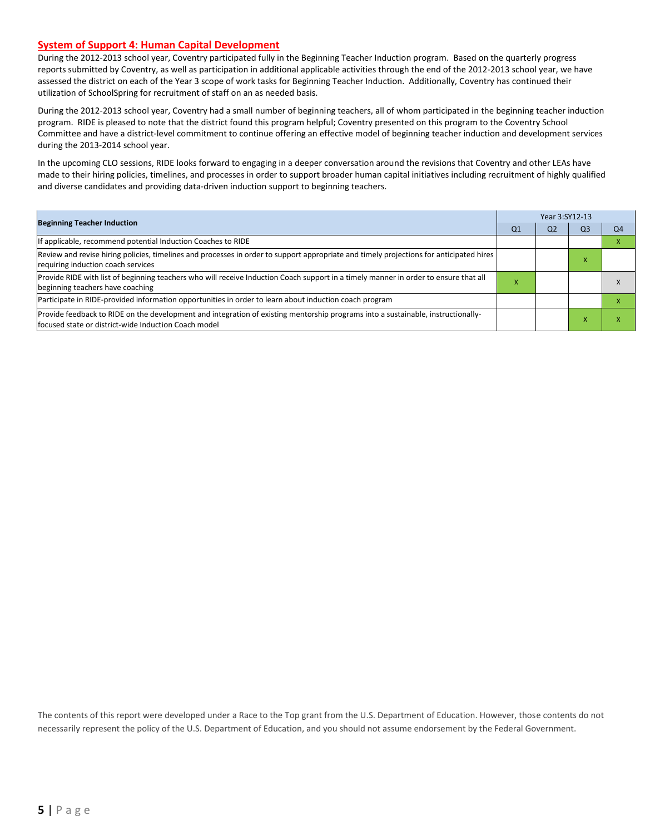#### **System of Support 4: Human Capital Development**

During the 2012-2013 school year, Coventry participated fully in the Beginning Teacher Induction program. Based on the quarterly progress reports submitted by Coventry, as well as participation in additional applicable activities through the end of the 2012-2013 school year, we have assessed the district on each of the Year 3 scope of work tasks for Beginning Teacher Induction. Additionally, Coventry has continued their utilization of SchoolSpring for recruitment of staff on an as needed basis.

During the 2012-2013 school year, Coventry had a small number of beginning teachers, all of whom participated in the beginning teacher induction program. RIDE is pleased to note that the district found this program helpful; Coventry presented on this program to the Coventry School Committee and have a district-level commitment to continue offering an effective model of beginning teacher induction and development services during the 2013-2014 school year.

In the upcoming CLO sessions, RIDE looks forward to engaging in a deeper conversation around the revisions that Coventry and other LEAs have made to their hiring policies, timelines, and processes in order to support broader human capital initiatives including recruitment of highly qualified and diverse candidates and providing data-driven induction support to beginning teachers.

|                                                                                                                                                                                           |   | Year 3:SY12-13 |    |    |  |  |
|-------------------------------------------------------------------------------------------------------------------------------------------------------------------------------------------|---|----------------|----|----|--|--|
| <b>Beginning Teacher Induction</b>                                                                                                                                                        |   |                | Q3 | Q4 |  |  |
| If applicable, recommend potential Induction Coaches to RIDE                                                                                                                              |   |                |    |    |  |  |
| Review and revise hiring policies, timelines and processes in order to support appropriate and timely projections for anticipated hires<br>requiring induction coach services             |   |                | ^  |    |  |  |
| Provide RIDE with list of beginning teachers who will receive Induction Coach support in a timely manner in order to ensure that all<br>beginning teachers have coaching                  | ⋏ |                |    |    |  |  |
| Participate in RIDE-provided information opportunities in order to learn about induction coach program                                                                                    |   |                |    |    |  |  |
| Provide feedback to RIDE on the development and integration of existing mentorship programs into a sustainable, instructionally-<br>lfocused state or district-wide Induction Coach model |   |                |    |    |  |  |

The contents of this report were developed under a Race to the Top grant from the U.S. Department of Education. However, those contents do not necessarily represent the policy of the U.S. Department of Education, and you should not assume endorsement by the Federal Government.